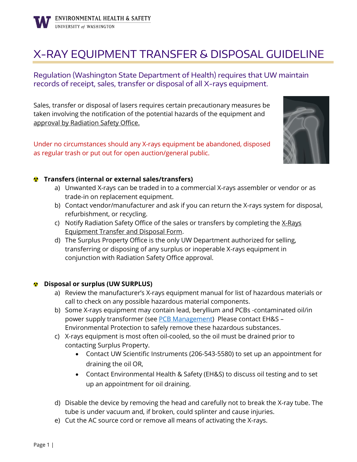

## X-RAY EQUIPMENT TRANSFER & DISPOSAL GUIDELINE

## Regulation (Washington State Department of Health) requires that UW maintain records of receipt, sales, transfer or disposal of all X-rays equipment.

Sales, transfer or disposal of lasers requires certain precautionary measures be taken involving the notification of the potential hazards of the equipment and approval by Radiation Safety Office.

Under no circumstances should any X-rays equipment be abandoned, disposed as regular trash or put out for open auction/general public.



## **Transfers (internal or external sales/transfers)**

- a) Unwanted X-rays can be traded in to a commercial X-rays assembler or vendor or as trade-in on replacement equipment.
- b) Contact vendor/manufacturer and ask if you can return the X-rays system for disposal, refurbishment, or recycling.
- c) Notify Radiation Safety Office of the sales or transfers by completing the X-Rays Equipment Transfer and Disposal Form.
- d) The Surplus Property Office is the only UW Department authorized for selling, transferring or disposing of any surplus or inoperable X-rays equipment in conjunction with Radiation Safety Office approval.

## **<sup>2</sup>** Disposal or surplus (UW SURPLUS)

- a) Review the manufacturer's X-rays equipment manual for list of hazardous materials or call to check on any possible hazardous material components.
- b) Some X-rays equipment may contain lead, beryllium and PCBs -contaminated oil/in power supply transformer (see [PCB Management\)](https://www.ehs.washington.edu/system/files/resources/pcb-management.pdf) Please contact EH&S -Environmental Protection to safely remove these hazardous substances.
- c) X-rays equipment is most often oil-cooled, so the oil must be drained prior to contacting Surplus Property.
	- Contact UW Scientific Instruments (206-543-5580) to set up an appointment for draining the oil OR,
	- Contact Environmental Health & Safety (EH&S) to discuss oil testing and to set up an appointment for oil draining.
- d) Disable the device by removing the head and carefully not to break the X-ray tube. The tube is under vacuum and, if broken, could splinter and cause injuries.
- e) Cut the AC source cord or remove all means of activating the X-rays.